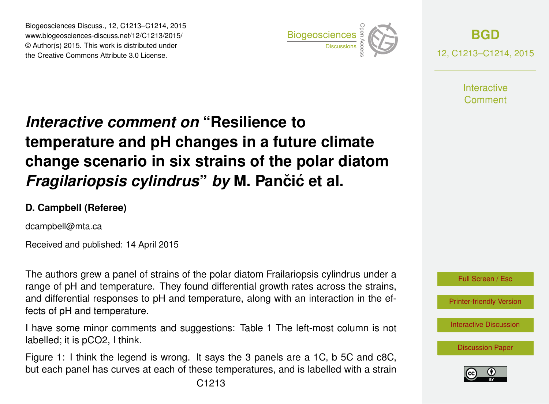Biogeosciences Discuss., 12, C1213–C1214, 2015 www.biogeosciences-discuss.net/12/C1213/2015/ © Author(s) 2015. This work is distributed under Biogeosciences Discuss., 12, C1213–C1214, 2015<br>
www.biogeosciences-discuss.net/12/C1213/2015/<br>
© Author(s) 2015. This work is distributed under<br>
the Creative Commons Attribute 3.0 License.



**[BGD](http://www.biogeosciences-discuss.net)** 12, C1213–C1214, 2015

> **Interactive** Comment

## *Interactive comment on* **"Resilience to temperature and pH changes in a future climate change scenario in six strains of the polar diatom** *Fragilariopsis cylindrus by* M. Pančić et al.

## **D. Campbell (Referee)**

dcampbell@mta.ca

Received and published: 14 April 2015

The authors grew a panel of strains of the polar diatom Frailariopsis cylindrus under a range of pH and temperature. They found differential growth rates across the strains, and differential responses to pH and temperature, along with an interaction in the effects of pH and temperature.

I have some minor comments and suggestions: Table 1 The left-most column is not labelled; it is pCO2, I think.

Figure 1: I think the legend is wrong. It says the 3 panels are a 1C, b 5C and c8C, but each panel has curves at each of these temperatures, and is labelled with a strain